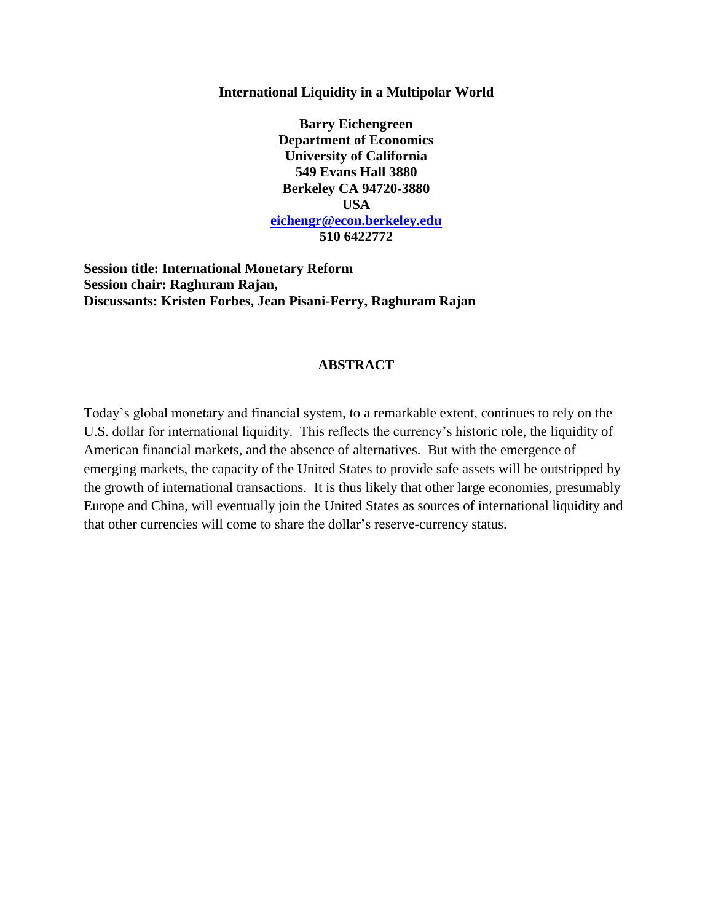### **International Liquidity in a Multipolar World**

**Barry Eichengreen Department of Economics University of California 549 Evans Hall 3880 Berkeley CA 94720-3880 USA [eichengr@econ.berkeley.edu](mailto:eichengr@econ.berkeley.edu) 510 6422772**

**Session title: International Monetary Reform Session chair: Raghuram Rajan, Discussants: Kristen Forbes, Jean Pisani-Ferry, Raghuram Rajan**

# **ABSTRACT**

Today's global monetary and financial system, to a remarkable extent, continues to rely on the U.S. dollar for international liquidity. This reflects the currency's historic role, the liquidity of American financial markets, and the absence of alternatives. But with the emergence of emerging markets, the capacity of the United States to provide safe assets will be outstripped by the growth of international transactions. It is thus likely that other large economies, presumably Europe and China, will eventually join the United States as sources of international liquidity and that other currencies will come to share the dollar's reserve-currency status.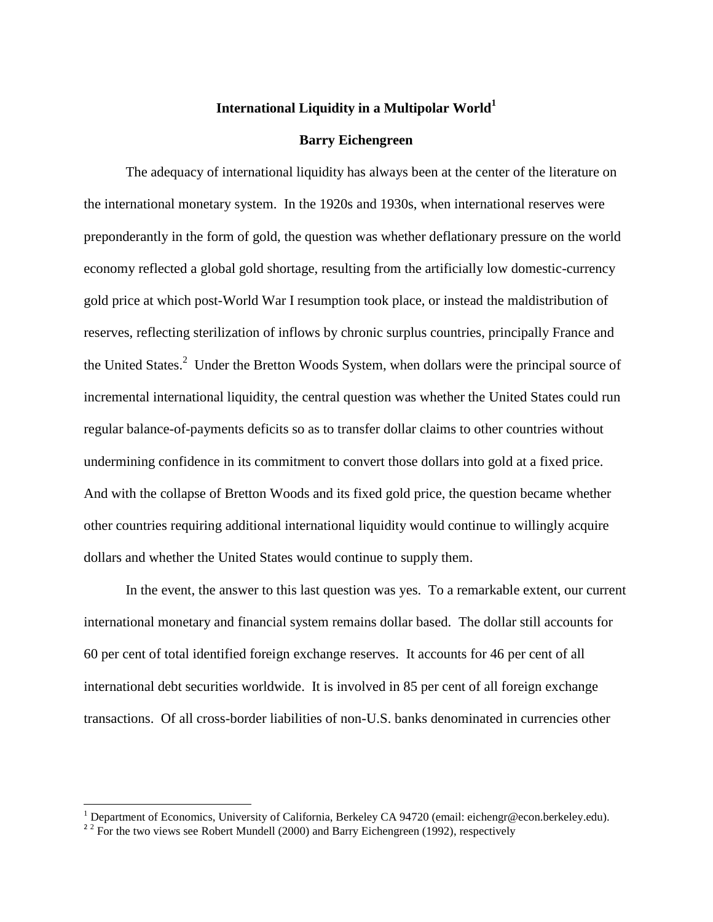# **International Liquidity in a Multipolar World<sup>1</sup>**

#### **Barry Eichengreen**

The adequacy of international liquidity has always been at the center of the literature on the international monetary system. In the 1920s and 1930s, when international reserves were preponderantly in the form of gold, the question was whether deflationary pressure on the world economy reflected a global gold shortage, resulting from the artificially low domestic-currency gold price at which post-World War I resumption took place, or instead the maldistribution of reserves, reflecting sterilization of inflows by chronic surplus countries, principally France and the United States.<sup>2</sup> Under the Bretton Woods System, when dollars were the principal source of incremental international liquidity, the central question was whether the United States could run regular balance-of-payments deficits so as to transfer dollar claims to other countries without undermining confidence in its commitment to convert those dollars into gold at a fixed price. And with the collapse of Bretton Woods and its fixed gold price, the question became whether other countries requiring additional international liquidity would continue to willingly acquire dollars and whether the United States would continue to supply them.

In the event, the answer to this last question was yes. To a remarkable extent, our current international monetary and financial system remains dollar based. The dollar still accounts for 60 per cent of total identified foreign exchange reserves. It accounts for 46 per cent of all international debt securities worldwide. It is involved in 85 per cent of all foreign exchange transactions. Of all cross-border liabilities of non-U.S. banks denominated in currencies other

l

<sup>&</sup>lt;sup>1</sup> Department of Economics, University of California, Berkeley CA 94720 (email: eichengr@econ.berkeley.edu).

 $2^{2}$  For the two views see Robert Mundell (2000) and Barry Eichengreen (1992), respectively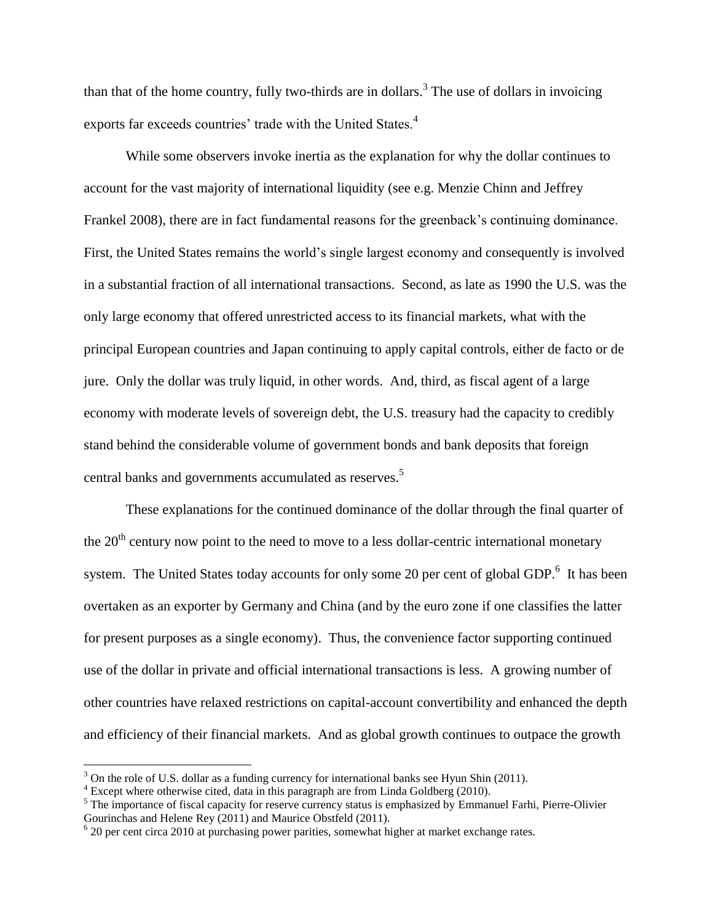than that of the home country, fully two-thirds are in dollars.<sup>3</sup> The use of dollars in invoicing exports far exceeds countries' trade with the United States.<sup>4</sup>

While some observers invoke inertia as the explanation for why the dollar continues to account for the vast majority of international liquidity (see e.g. Menzie Chinn and Jeffrey Frankel 2008), there are in fact fundamental reasons for the greenback's continuing dominance. First, the United States remains the world's single largest economy and consequently is involved in a substantial fraction of all international transactions. Second, as late as 1990 the U.S. was the only large economy that offered unrestricted access to its financial markets, what with the principal European countries and Japan continuing to apply capital controls, either de facto or de jure. Only the dollar was truly liquid, in other words. And, third, as fiscal agent of a large economy with moderate levels of sovereign debt, the U.S. treasury had the capacity to credibly stand behind the considerable volume of government bonds and bank deposits that foreign central banks and governments accumulated as reserves.<sup>5</sup>

These explanations for the continued dominance of the dollar through the final quarter of the  $20<sup>th</sup>$  century now point to the need to move to a less dollar-centric international monetary system. The United States today accounts for only some 20 per cent of global GDP.<sup>6</sup> It has been overtaken as an exporter by Germany and China (and by the euro zone if one classifies the latter for present purposes as a single economy). Thus, the convenience factor supporting continued use of the dollar in private and official international transactions is less. A growing number of other countries have relaxed restrictions on capital-account convertibility and enhanced the depth and efficiency of their financial markets. And as global growth continues to outpace the growth

 $\overline{a}$ 

 $3$  On the role of U.S. dollar as a funding currency for international banks see Hyun Shin (2011).

 $4$  Except where otherwise cited, data in this paragraph are from Linda Goldberg (2010).

<sup>&</sup>lt;sup>5</sup> The importance of fiscal capacity for reserve currency status is emphasized by Emmanuel Farhi, Pierre-Olivier Gourinchas and Helene Rey (2011) and Maurice Obstfeld (2011).

 $620$  per cent circa 2010 at purchasing power parities, somewhat higher at market exchange rates.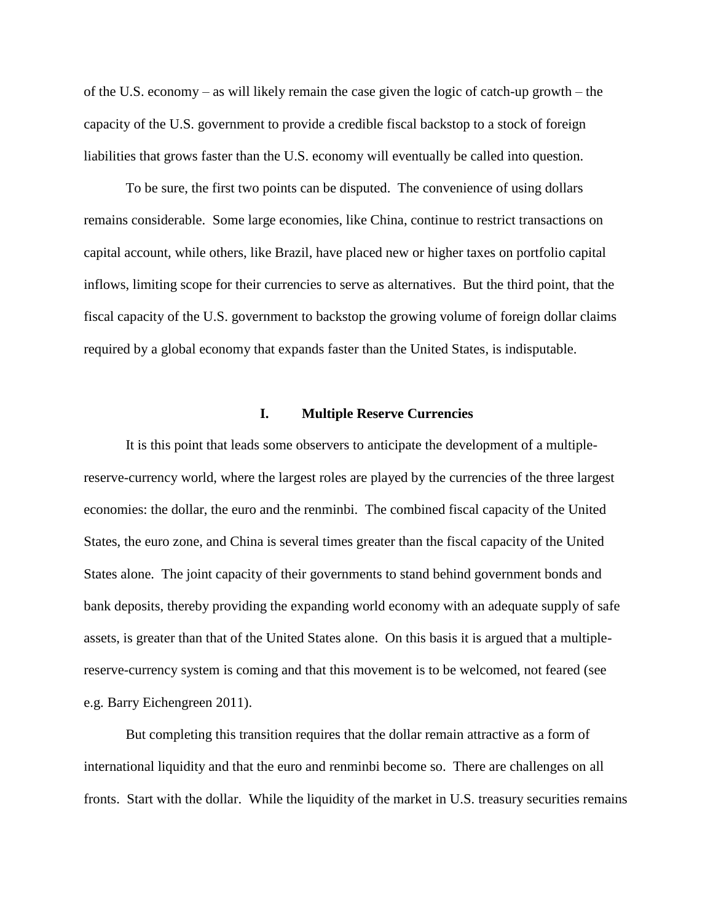of the U.S. economy – as will likely remain the case given the logic of catch-up growth – the capacity of the U.S. government to provide a credible fiscal backstop to a stock of foreign liabilities that grows faster than the U.S. economy will eventually be called into question.

To be sure, the first two points can be disputed. The convenience of using dollars remains considerable. Some large economies, like China, continue to restrict transactions on capital account, while others, like Brazil, have placed new or higher taxes on portfolio capital inflows, limiting scope for their currencies to serve as alternatives. But the third point, that the fiscal capacity of the U.S. government to backstop the growing volume of foreign dollar claims required by a global economy that expands faster than the United States, is indisputable.

### **I. Multiple Reserve Currencies**

It is this point that leads some observers to anticipate the development of a multiplereserve-currency world, where the largest roles are played by the currencies of the three largest economies: the dollar, the euro and the renminbi. The combined fiscal capacity of the United States, the euro zone, and China is several times greater than the fiscal capacity of the United States alone. The joint capacity of their governments to stand behind government bonds and bank deposits, thereby providing the expanding world economy with an adequate supply of safe assets, is greater than that of the United States alone. On this basis it is argued that a multiplereserve-currency system is coming and that this movement is to be welcomed, not feared (see e.g. Barry Eichengreen 2011).

But completing this transition requires that the dollar remain attractive as a form of international liquidity and that the euro and renminbi become so. There are challenges on all fronts. Start with the dollar. While the liquidity of the market in U.S. treasury securities remains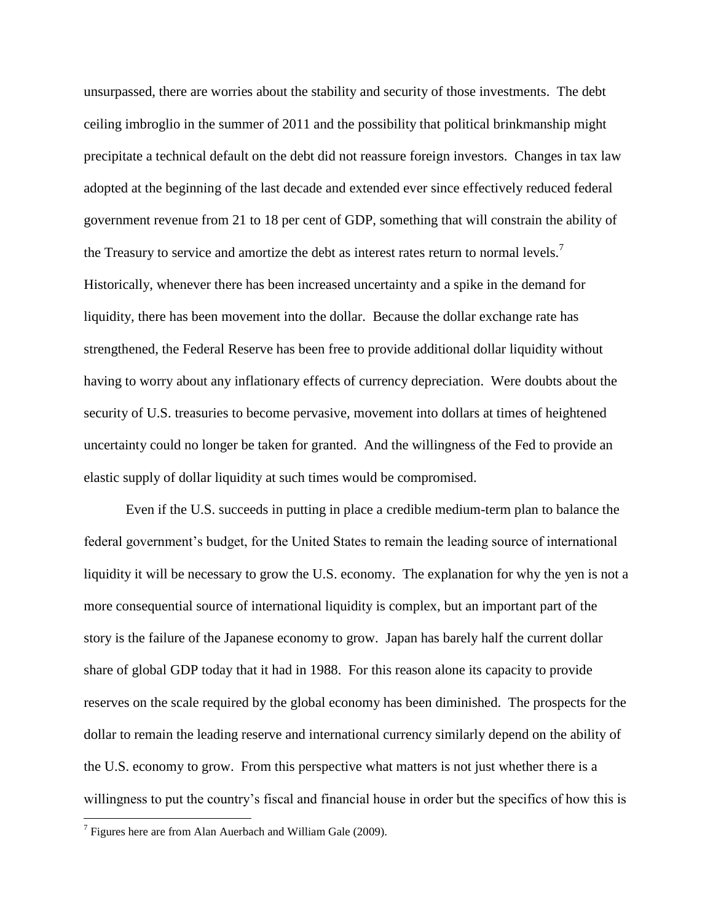unsurpassed, there are worries about the stability and security of those investments. The debt ceiling imbroglio in the summer of 2011 and the possibility that political brinkmanship might precipitate a technical default on the debt did not reassure foreign investors. Changes in tax law adopted at the beginning of the last decade and extended ever since effectively reduced federal government revenue from 21 to 18 per cent of GDP, something that will constrain the ability of the Treasury to service and amortize the debt as interest rates return to normal levels.<sup>7</sup> Historically, whenever there has been increased uncertainty and a spike in the demand for liquidity, there has been movement into the dollar. Because the dollar exchange rate has strengthened, the Federal Reserve has been free to provide additional dollar liquidity without having to worry about any inflationary effects of currency depreciation. Were doubts about the security of U.S. treasuries to become pervasive, movement into dollars at times of heightened uncertainty could no longer be taken for granted. And the willingness of the Fed to provide an elastic supply of dollar liquidity at such times would be compromised.

Even if the U.S. succeeds in putting in place a credible medium-term plan to balance the federal government's budget, for the United States to remain the leading source of international liquidity it will be necessary to grow the U.S. economy. The explanation for why the yen is not a more consequential source of international liquidity is complex, but an important part of the story is the failure of the Japanese economy to grow. Japan has barely half the current dollar share of global GDP today that it had in 1988. For this reason alone its capacity to provide reserves on the scale required by the global economy has been diminished. The prospects for the dollar to remain the leading reserve and international currency similarly depend on the ability of the U.S. economy to grow. From this perspective what matters is not just whether there is a willingness to put the country's fiscal and financial house in order but the specifics of how this is

<sup>&</sup>lt;sup>7</sup> Figures here are from Alan Auerbach and William Gale (2009).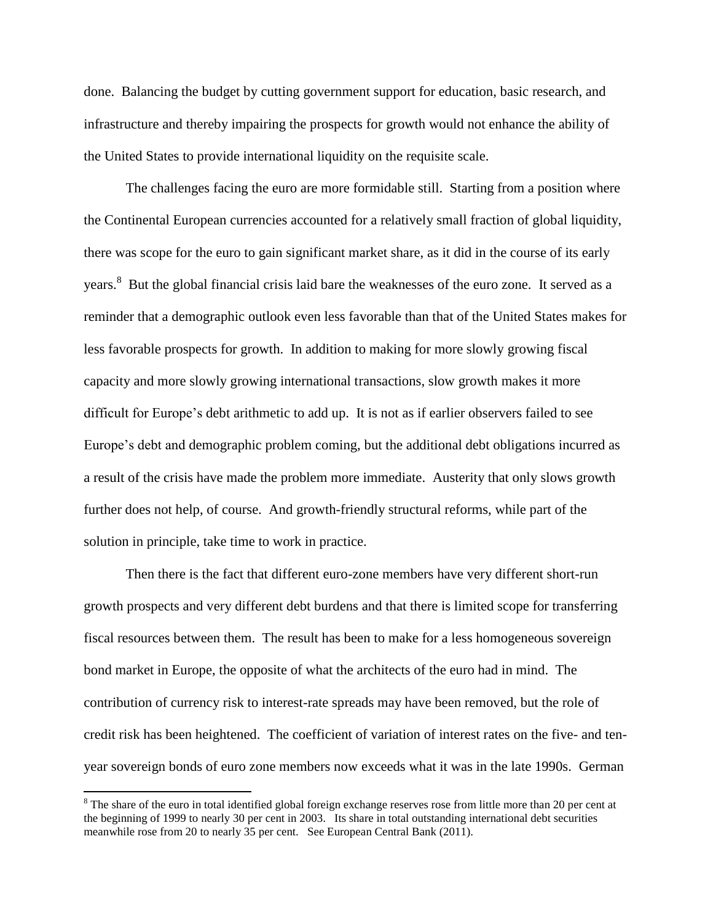done. Balancing the budget by cutting government support for education, basic research, and infrastructure and thereby impairing the prospects for growth would not enhance the ability of the United States to provide international liquidity on the requisite scale.

The challenges facing the euro are more formidable still. Starting from a position where the Continental European currencies accounted for a relatively small fraction of global liquidity, there was scope for the euro to gain significant market share, as it did in the course of its early years.<sup>8</sup> But the global financial crisis laid bare the weaknesses of the euro zone. It served as a reminder that a demographic outlook even less favorable than that of the United States makes for less favorable prospects for growth. In addition to making for more slowly growing fiscal capacity and more slowly growing international transactions, slow growth makes it more difficult for Europe's debt arithmetic to add up. It is not as if earlier observers failed to see Europe's debt and demographic problem coming, but the additional debt obligations incurred as a result of the crisis have made the problem more immediate. Austerity that only slows growth further does not help, of course. And growth-friendly structural reforms, while part of the solution in principle, take time to work in practice.

Then there is the fact that different euro-zone members have very different short-run growth prospects and very different debt burdens and that there is limited scope for transferring fiscal resources between them. The result has been to make for a less homogeneous sovereign bond market in Europe, the opposite of what the architects of the euro had in mind. The contribution of currency risk to interest-rate spreads may have been removed, but the role of credit risk has been heightened. The coefficient of variation of interest rates on the five- and tenyear sovereign bonds of euro zone members now exceeds what it was in the late 1990s. German

<sup>&</sup>lt;sup>8</sup> The share of the euro in total identified global foreign exchange reserves rose from little more than 20 per cent at the beginning of 1999 to nearly 30 per cent in 2003. Its share in total outstanding international debt securities meanwhile rose from 20 to nearly 35 per cent. See European Central Bank (2011).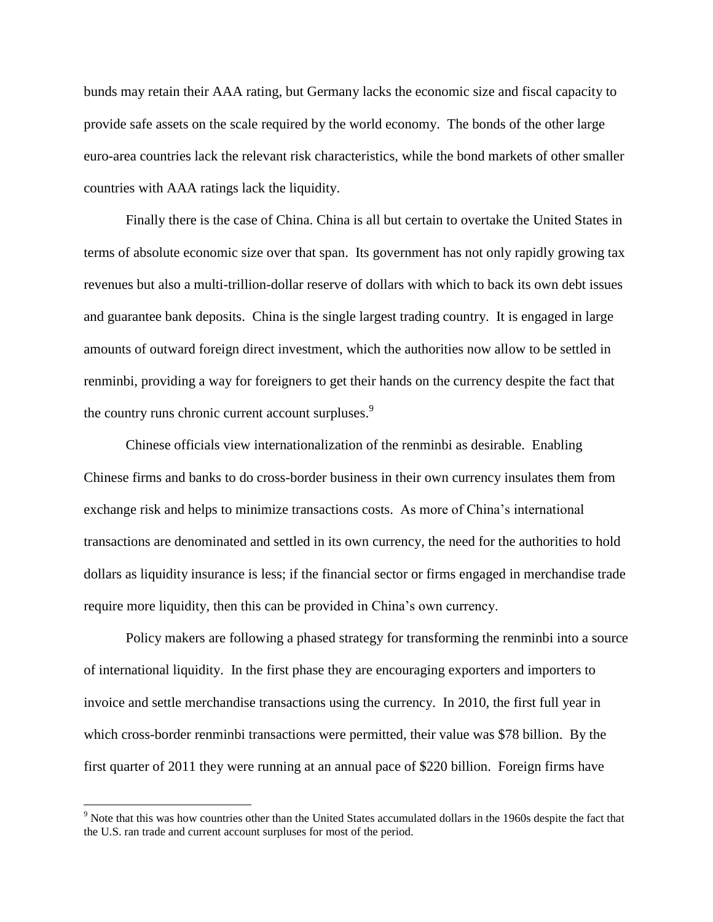bunds may retain their AAA rating, but Germany lacks the economic size and fiscal capacity to provide safe assets on the scale required by the world economy. The bonds of the other large euro-area countries lack the relevant risk characteristics, while the bond markets of other smaller countries with AAA ratings lack the liquidity.

Finally there is the case of China. China is all but certain to overtake the United States in terms of absolute economic size over that span. Its government has not only rapidly growing tax revenues but also a multi-trillion-dollar reserve of dollars with which to back its own debt issues and guarantee bank deposits. China is the single largest trading country. It is engaged in large amounts of outward foreign direct investment, which the authorities now allow to be settled in renminbi, providing a way for foreigners to get their hands on the currency despite the fact that the country runs chronic current account surpluses.<sup>9</sup>

Chinese officials view internationalization of the renminbi as desirable. Enabling Chinese firms and banks to do cross-border business in their own currency insulates them from exchange risk and helps to minimize transactions costs. As more of China's international transactions are denominated and settled in its own currency, the need for the authorities to hold dollars as liquidity insurance is less; if the financial sector or firms engaged in merchandise trade require more liquidity, then this can be provided in China's own currency.

Policy makers are following a phased strategy for transforming the renminbi into a source of international liquidity. In the first phase they are encouraging exporters and importers to invoice and settle merchandise transactions using the currency. In 2010, the first full year in which cross-border renminbi transactions were permitted, their value was \$78 billion. By the first quarter of 2011 they were running at an annual pace of \$220 billion. Foreign firms have

<sup>&</sup>lt;sup>9</sup> Note that this was how countries other than the United States accumulated dollars in the 1960s despite the fact that the U.S. ran trade and current account surpluses for most of the period.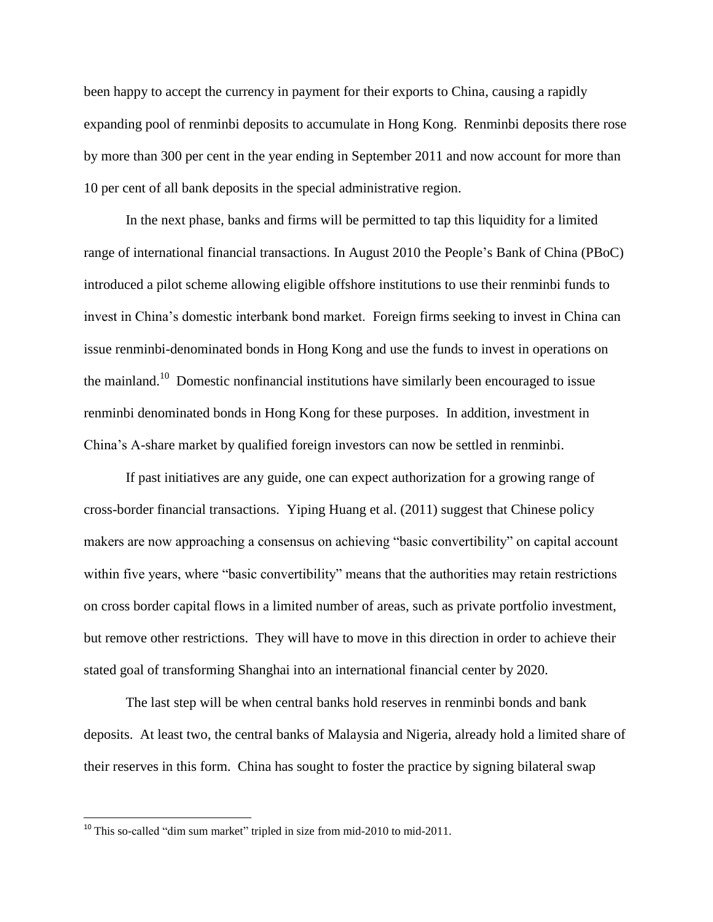been happy to accept the currency in payment for their exports to China, causing a rapidly expanding pool of renminbi deposits to accumulate in Hong Kong. Renminbi deposits there rose by more than 300 per cent in the year ending in September 2011 and now account for more than 10 per cent of all bank deposits in the special administrative region.

In the next phase, banks and firms will be permitted to tap this liquidity for a limited range of international financial transactions. In August 2010 the People's Bank of China (PBoC) introduced a pilot scheme allowing eligible offshore institutions to use their renminbi funds to invest in China's domestic interbank bond market. Foreign firms seeking to invest in China can issue renminbi-denominated bonds in Hong Kong and use the funds to invest in operations on the mainland.<sup>10</sup> Domestic nonfinancial institutions have similarly been encouraged to issue renminbi denominated bonds in Hong Kong for these purposes. In addition, investment in China's A-share market by qualified foreign investors can now be settled in renminbi.

If past initiatives are any guide, one can expect authorization for a growing range of cross-border financial transactions. Yiping Huang et al. (2011) suggest that Chinese policy makers are now approaching a consensus on achieving "basic convertibility" on capital account within five years, where "basic convertibility" means that the authorities may retain restrictions on cross border capital flows in a limited number of areas, such as private portfolio investment, but remove other restrictions. They will have to move in this direction in order to achieve their stated goal of transforming Shanghai into an international financial center by 2020.

The last step will be when central banks hold reserves in renminbi bonds and bank deposits. At least two, the central banks of Malaysia and Nigeria, already hold a limited share of their reserves in this form. China has sought to foster the practice by signing bilateral swap

<sup>&</sup>lt;sup>10</sup> This so-called "dim sum market" tripled in size from mid-2010 to mid-2011.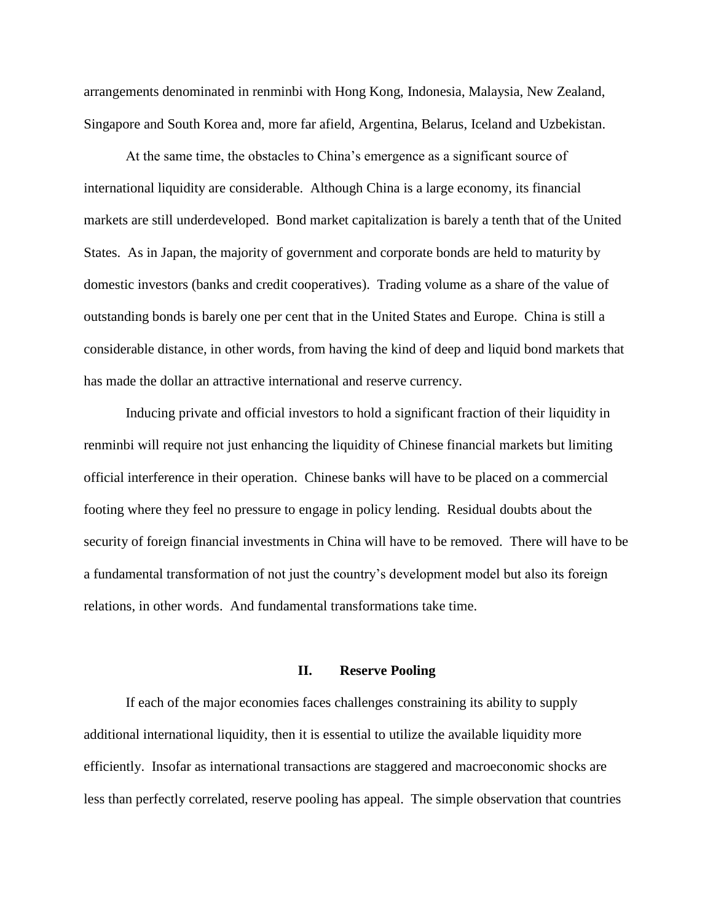arrangements denominated in renminbi with Hong Kong, Indonesia, Malaysia, New Zealand, Singapore and South Korea and, more far afield, Argentina, Belarus, Iceland and Uzbekistan.

At the same time, the obstacles to China's emergence as a significant source of international liquidity are considerable. Although China is a large economy, its financial markets are still underdeveloped. Bond market capitalization is barely a tenth that of the United States. As in Japan, the majority of government and corporate bonds are held to maturity by domestic investors (banks and credit cooperatives). Trading volume as a share of the value of outstanding bonds is barely one per cent that in the United States and Europe. China is still a considerable distance, in other words, from having the kind of deep and liquid bond markets that has made the dollar an attractive international and reserve currency.

Inducing private and official investors to hold a significant fraction of their liquidity in renminbi will require not just enhancing the liquidity of Chinese financial markets but limiting official interference in their operation. Chinese banks will have to be placed on a commercial footing where they feel no pressure to engage in policy lending. Residual doubts about the security of foreign financial investments in China will have to be removed. There will have to be a fundamental transformation of not just the country's development model but also its foreign relations, in other words. And fundamental transformations take time.

#### **II. Reserve Pooling**

If each of the major economies faces challenges constraining its ability to supply additional international liquidity, then it is essential to utilize the available liquidity more efficiently. Insofar as international transactions are staggered and macroeconomic shocks are less than perfectly correlated, reserve pooling has appeal. The simple observation that countries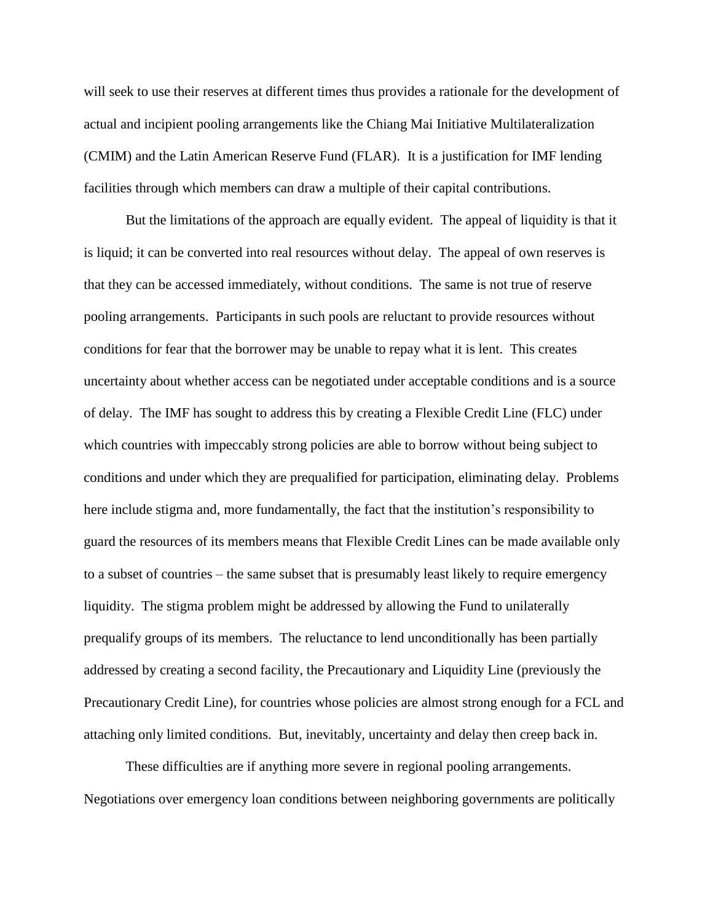will seek to use their reserves at different times thus provides a rationale for the development of actual and incipient pooling arrangements like the Chiang Mai Initiative Multilateralization (CMIM) and the Latin American Reserve Fund (FLAR). It is a justification for IMF lending facilities through which members can draw a multiple of their capital contributions.

But the limitations of the approach are equally evident. The appeal of liquidity is that it is liquid; it can be converted into real resources without delay. The appeal of own reserves is that they can be accessed immediately, without conditions. The same is not true of reserve pooling arrangements. Participants in such pools are reluctant to provide resources without conditions for fear that the borrower may be unable to repay what it is lent. This creates uncertainty about whether access can be negotiated under acceptable conditions and is a source of delay. The IMF has sought to address this by creating a Flexible Credit Line (FLC) under which countries with impeccably strong policies are able to borrow without being subject to conditions and under which they are prequalified for participation, eliminating delay. Problems here include stigma and, more fundamentally, the fact that the institution's responsibility to guard the resources of its members means that Flexible Credit Lines can be made available only to a subset of countries – the same subset that is presumably least likely to require emergency liquidity. The stigma problem might be addressed by allowing the Fund to unilaterally prequalify groups of its members. The reluctance to lend unconditionally has been partially addressed by creating a second facility, the Precautionary and Liquidity Line (previously the Precautionary Credit Line), for countries whose policies are almost strong enough for a FCL and attaching only limited conditions. But, inevitably, uncertainty and delay then creep back in.

These difficulties are if anything more severe in regional pooling arrangements. Negotiations over emergency loan conditions between neighboring governments are politically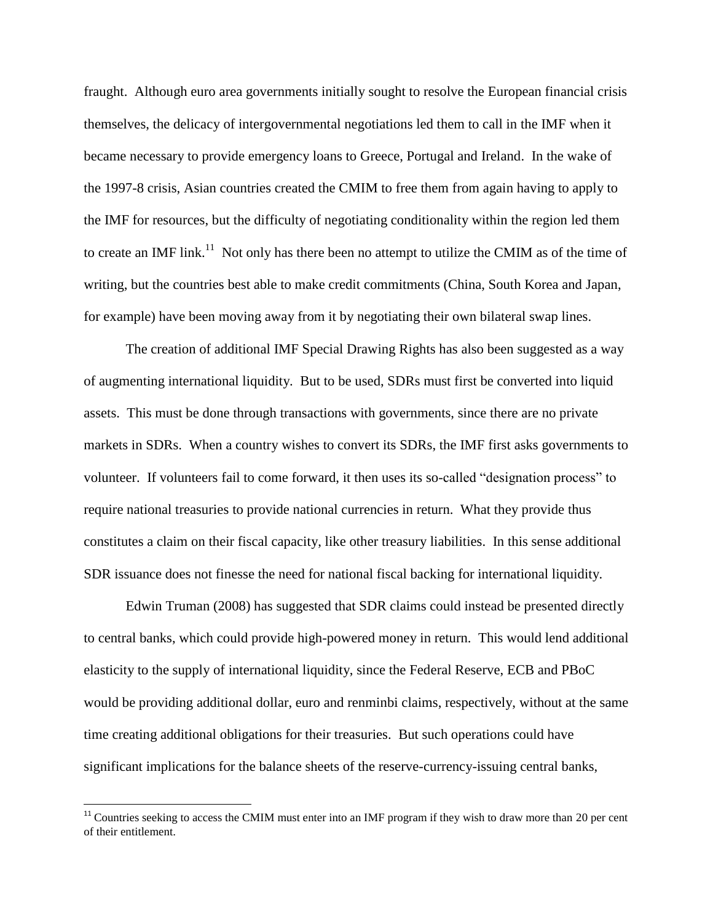fraught. Although euro area governments initially sought to resolve the European financial crisis themselves, the delicacy of intergovernmental negotiations led them to call in the IMF when it became necessary to provide emergency loans to Greece, Portugal and Ireland. In the wake of the 1997-8 crisis, Asian countries created the CMIM to free them from again having to apply to the IMF for resources, but the difficulty of negotiating conditionality within the region led them to create an IMF link.<sup>11</sup> Not only has there been no attempt to utilize the CMIM as of the time of writing, but the countries best able to make credit commitments (China, South Korea and Japan, for example) have been moving away from it by negotiating their own bilateral swap lines.

The creation of additional IMF Special Drawing Rights has also been suggested as a way of augmenting international liquidity. But to be used, SDRs must first be converted into liquid assets. This must be done through transactions with governments, since there are no private markets in SDRs. When a country wishes to convert its SDRs, the IMF first asks governments to volunteer. If volunteers fail to come forward, it then uses its so-called "designation process" to require national treasuries to provide national currencies in return. What they provide thus constitutes a claim on their fiscal capacity, like other treasury liabilities. In this sense additional SDR issuance does not finesse the need for national fiscal backing for international liquidity.

Edwin Truman (2008) has suggested that SDR claims could instead be presented directly to central banks, which could provide high-powered money in return. This would lend additional elasticity to the supply of international liquidity, since the Federal Reserve, ECB and PBoC would be providing additional dollar, euro and renminbi claims, respectively, without at the same time creating additional obligations for their treasuries. But such operations could have significant implications for the balance sheets of the reserve-currency-issuing central banks,

l

 $11$  Countries seeking to access the CMIM must enter into an IMF program if they wish to draw more than 20 per cent of their entitlement.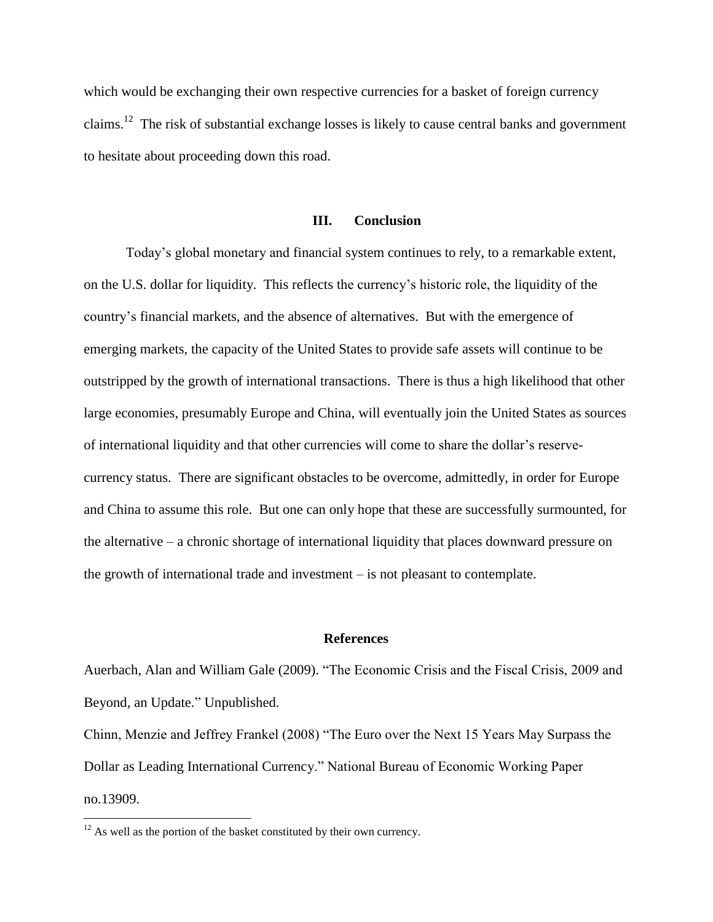which would be exchanging their own respective currencies for a basket of foreign currency claims.<sup>12</sup> The risk of substantial exchange losses is likely to cause central banks and government to hesitate about proceeding down this road.

# **III. Conclusion**

Today's global monetary and financial system continues to rely, to a remarkable extent, on the U.S. dollar for liquidity. This reflects the currency's historic role, the liquidity of the country's financial markets, and the absence of alternatives. But with the emergence of emerging markets, the capacity of the United States to provide safe assets will continue to be outstripped by the growth of international transactions. There is thus a high likelihood that other large economies, presumably Europe and China, will eventually join the United States as sources of international liquidity and that other currencies will come to share the dollar's reservecurrency status. There are significant obstacles to be overcome, admittedly, in order for Europe and China to assume this role. But one can only hope that these are successfully surmounted, for the alternative – a chronic shortage of international liquidity that places downward pressure on the growth of international trade and investment – is not pleasant to contemplate.

#### **References**

Auerbach, Alan and William Gale (2009). "The Economic Crisis and the Fiscal Crisis, 2009 and Beyond, an Update." Unpublished.

Chinn, Menzie and Jeffrey Frankel (2008) "The Euro over the Next 15 Years May Surpass the Dollar as Leading International Currency." National Bureau of Economic Working Paper no.13909.

 $12$  As well as the portion of the basket constituted by their own currency.